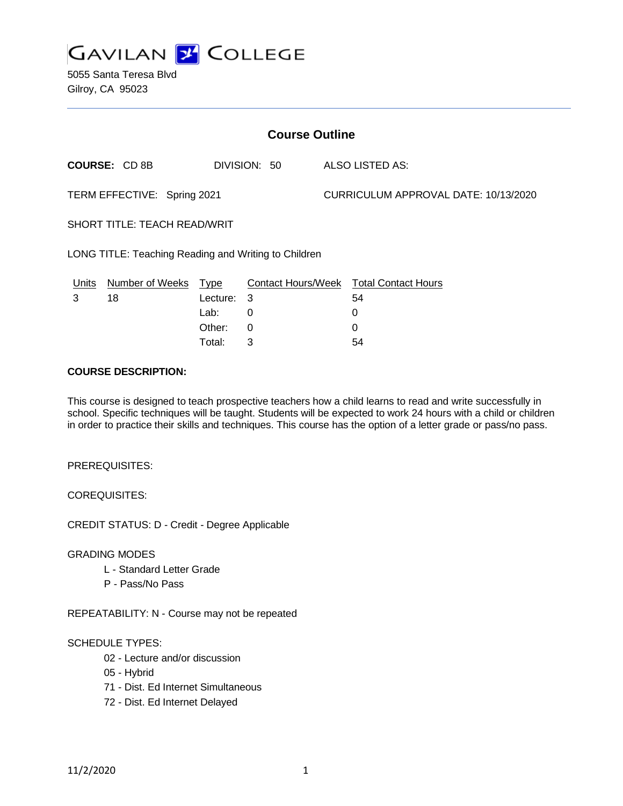

5055 Santa Teresa Blvd Gilroy, CA 95023

| <b>Course Outline</b>                                |                                     |          |                 |                                      |                                               |
|------------------------------------------------------|-------------------------------------|----------|-----------------|--------------------------------------|-----------------------------------------------|
|                                                      | <b>COURSE: CD8B</b><br>DIVISION: 50 |          | ALSO LISTED AS: |                                      |                                               |
| TERM EFFECTIVE: Spring 2021                          |                                     |          |                 | CURRICULUM APPROVAL DATE: 10/13/2020 |                                               |
| SHORT TITLE: TEACH READ/WRIT                         |                                     |          |                 |                                      |                                               |
| LONG TITLE: Teaching Reading and Writing to Children |                                     |          |                 |                                      |                                               |
| Units                                                | Number of Weeks Type                |          |                 |                                      | <b>Contact Hours/Week Total Contact Hours</b> |
| 3                                                    | 18                                  | Lecture: | -3              |                                      | 54                                            |
|                                                      |                                     | Lab:     | 0               |                                      | 0                                             |
|                                                      |                                     | Other:   | 0               |                                      | 0                                             |
|                                                      |                                     | Total:   | 3               |                                      | 54                                            |

#### **COURSE DESCRIPTION:**

This course is designed to teach prospective teachers how a child learns to read and write successfully in school. Specific techniques will be taught. Students will be expected to work 24 hours with a child or children in order to practice their skills and techniques. This course has the option of a letter grade or pass/no pass.

PREREQUISITES:

COREQUISITES:

CREDIT STATUS: D - Credit - Degree Applicable

GRADING MODES

- L Standard Letter Grade
- P Pass/No Pass

REPEATABILITY: N - Course may not be repeated

#### SCHEDULE TYPES:

- 02 Lecture and/or discussion
- 05 Hybrid
- 71 Dist. Ed Internet Simultaneous
- 72 Dist. Ed Internet Delayed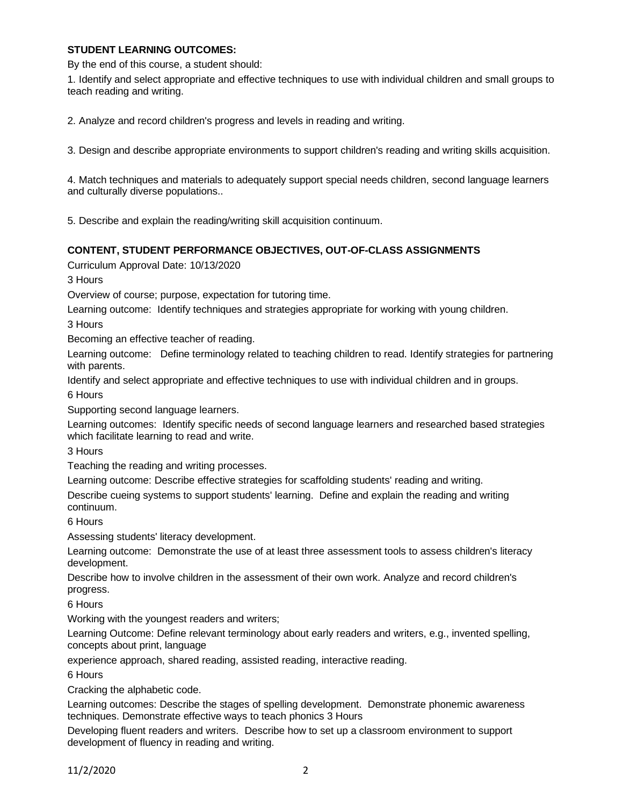### **STUDENT LEARNING OUTCOMES:**

By the end of this course, a student should:

1. Identify and select appropriate and effective techniques to use with individual children and small groups to teach reading and writing.

2. Analyze and record children's progress and levels in reading and writing.

3. Design and describe appropriate environments to support children's reading and writing skills acquisition.

4. Match techniques and materials to adequately support special needs children, second language learners and culturally diverse populations..

5. Describe and explain the reading/writing skill acquisition continuum.

### **CONTENT, STUDENT PERFORMANCE OBJECTIVES, OUT-OF-CLASS ASSIGNMENTS**

Curriculum Approval Date: 10/13/2020

3 Hours

Overview of course; purpose, expectation for tutoring time.

Learning outcome: Identify techniques and strategies appropriate for working with young children.

3 Hours

Becoming an effective teacher of reading.

Learning outcome: Define terminology related to teaching children to read. Identify strategies for partnering with parents.

Identify and select appropriate and effective techniques to use with individual children and in groups.

6 Hours

Supporting second language learners.

Learning outcomes: Identify specific needs of second language learners and researched based strategies which facilitate learning to read and write.

3 Hours

Teaching the reading and writing processes.

Learning outcome: Describe effective strategies for scaffolding students' reading and writing.

Describe cueing systems to support students' learning. Define and explain the reading and writing continuum.

6 Hours

Assessing students' literacy development.

Learning outcome: Demonstrate the use of at least three assessment tools to assess children's literacy development.

Describe how to involve children in the assessment of their own work. Analyze and record children's progress.

6 Hours

Working with the youngest readers and writers;

Learning Outcome: Define relevant terminology about early readers and writers, e.g., invented spelling, concepts about print, language

experience approach, shared reading, assisted reading, interactive reading.

6 Hours

Cracking the alphabetic code.

Learning outcomes: Describe the stages of spelling development. Demonstrate phonemic awareness techniques. Demonstrate effective ways to teach phonics 3 Hours

Developing fluent readers and writers. Describe how to set up a classroom environment to support development of fluency in reading and writing.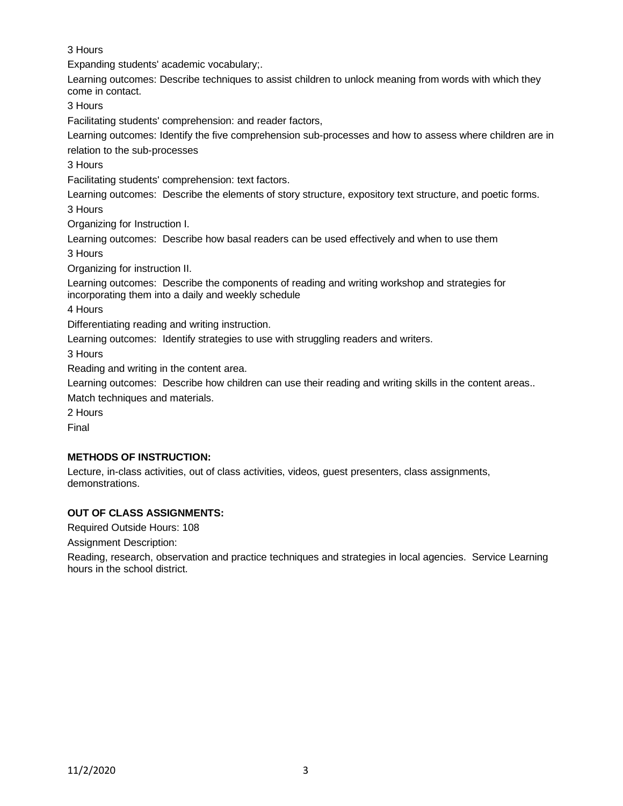3 Hours

Expanding students' academic vocabulary;.

Learning outcomes: Describe techniques to assist children to unlock meaning from words with which they come in contact.

3 Hours

Facilitating students' comprehension: and reader factors,

Learning outcomes: Identify the five comprehension sub-processes and how to assess where children are in relation to the sub-processes

3 Hours

Facilitating students' comprehension: text factors.

Learning outcomes: Describe the elements of story structure, expository text structure, and poetic forms.

3 Hours

Organizing for Instruction I.

Learning outcomes: Describe how basal readers can be used effectively and when to use them 3 Hours

Organizing for instruction II.

Learning outcomes: Describe the components of reading and writing workshop and strategies for incorporating them into a daily and weekly schedule

4 Hours

Differentiating reading and writing instruction.

Learning outcomes: Identify strategies to use with struggling readers and writers.

3 Hours

Reading and writing in the content area.

Learning outcomes: Describe how children can use their reading and writing skills in the content areas..

Match techniques and materials.

2 Hours

Final

# **METHODS OF INSTRUCTION:**

Lecture, in-class activities, out of class activities, videos, guest presenters, class assignments, demonstrations.

# **OUT OF CLASS ASSIGNMENTS:**

Required Outside Hours: 108

Assignment Description:

Reading, research, observation and practice techniques and strategies in local agencies. Service Learning hours in the school district.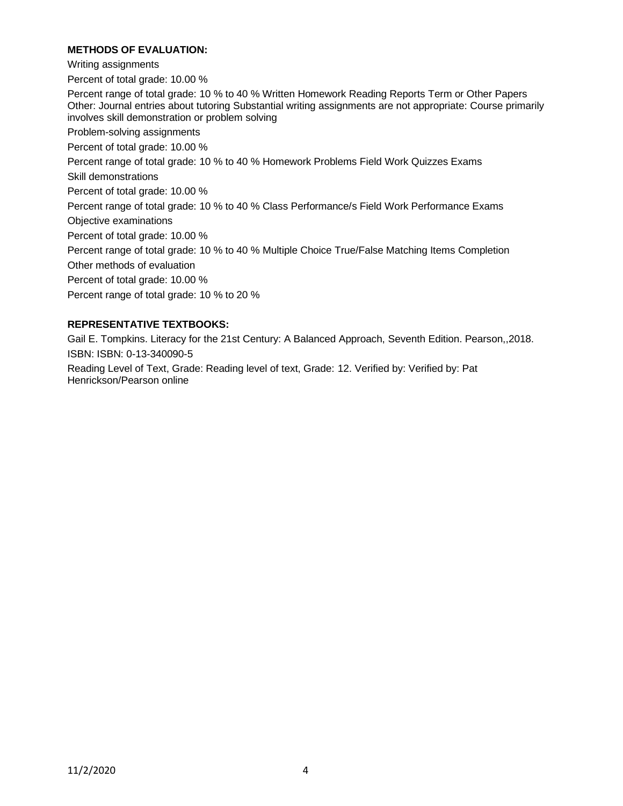### **METHODS OF EVALUATION:**

Writing assignments

Percent of total grade: 10.00 %

Percent range of total grade: 10 % to 40 % Written Homework Reading Reports Term or Other Papers Other: Journal entries about tutoring Substantial writing assignments are not appropriate: Course primarily involves skill demonstration or problem solving

Problem-solving assignments

Percent of total grade: 10.00 %

Percent range of total grade: 10 % to 40 % Homework Problems Field Work Quizzes Exams

Skill demonstrations

Percent of total grade: 10.00 %

Percent range of total grade: 10 % to 40 % Class Performance/s Field Work Performance Exams Objective examinations

Percent of total grade: 10.00 %

Percent range of total grade: 10 % to 40 % Multiple Choice True/False Matching Items Completion

Other methods of evaluation

Percent of total grade: 10.00 %

Percent range of total grade: 10 % to 20 %

# **REPRESENTATIVE TEXTBOOKS:**

Gail E. Tompkins. Literacy for the 21st Century: A Balanced Approach, Seventh Edition. Pearson,,2018. ISBN: ISBN: 0-13-340090-5

Reading Level of Text, Grade: Reading level of text, Grade: 12. Verified by: Verified by: Pat Henrickson/Pearson online